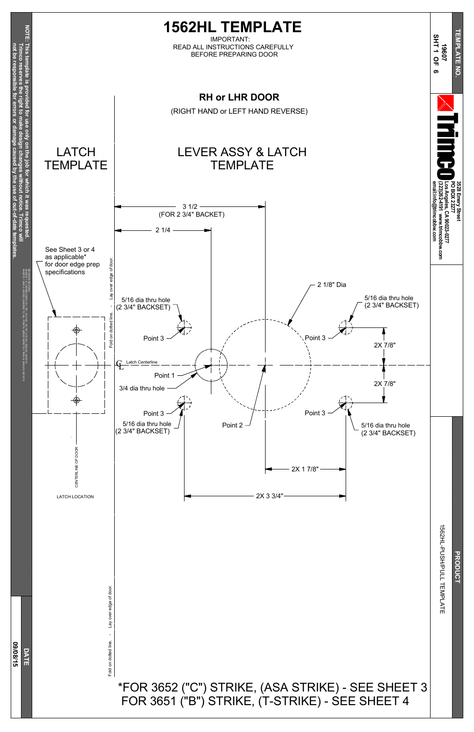Lay over edge of door Fold on dotted line. - Lay over edge of door.

#### **D A T E 0 9/0 8/15**

Fold on dotted line.



### \*FOR 3652 ("C") STRIKE, (ASA STRIKE) - SEE SHEET 3 FOR 3651 ("B") STRIKE, (T-STRIKE) - SEE SHEET 4

HL-PUSH/PULL TEMPLATE

**PRODUCT**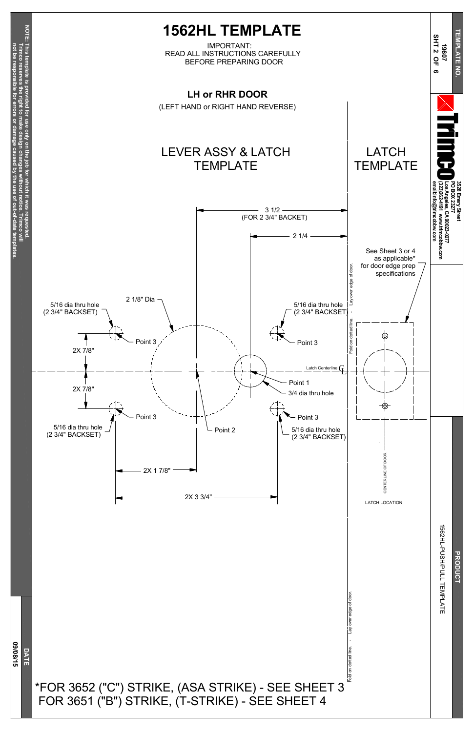Fold on dotted line. - Lay over edge of door. Fold on dotted line. - Lay over edge of door

HL-PUSH/PULL TEMPLATE

**PRODUCT** 





#### \*FOR 3652 ("C") STRIKE, (ASA STRIKE) - SEE SHEET 3 FOR 3651 ("B") STRIKE, (T-STRIKE) - SEE SHEET 4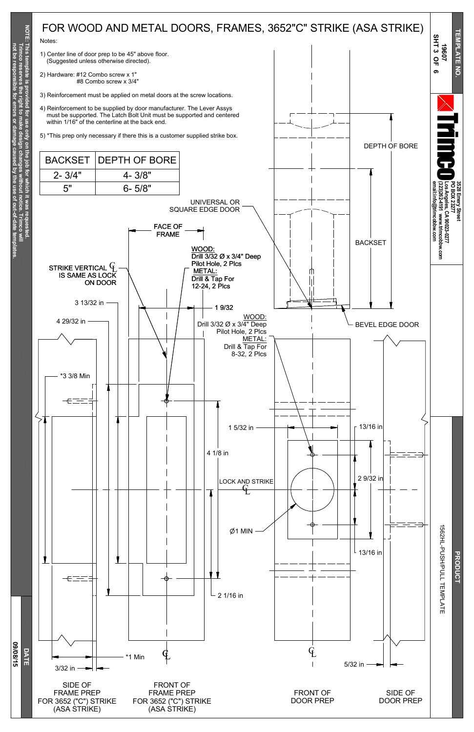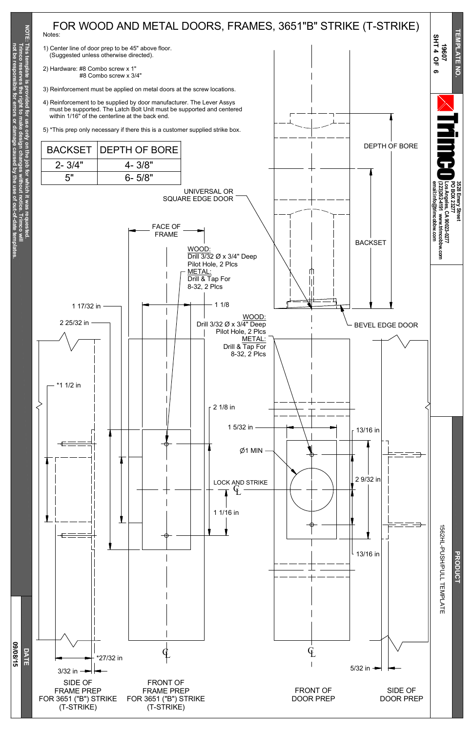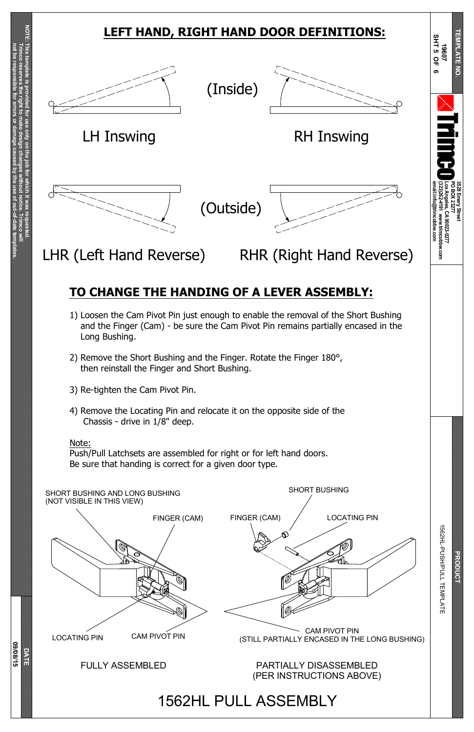**Trim c o** §<br>≡

**Trim c o**

**reserves**

**the right to make**

**design**

**changes**

**without**

**notice.**

**not be resp**

**onsible**

**for**

**errors**

**or**

LOCATING PIN CAM PIVOT PIN CAM PIVOT PIN (STILL PARTIALLY ENCASED IN THE LONG BUSHING)

**damage**

**caused**

**b y the use of**

**out-of-date**

**tem**

**plates.**

**D A T E 0 9/0 8/15**

FULLY ASSEMBLED

PARTIALLY DISASSEMBLED (PER INSTRUCTIONS ABOVE)



HL-PUSH/PULL

TEMPLATE

1562HL PULL ASSEMBLY